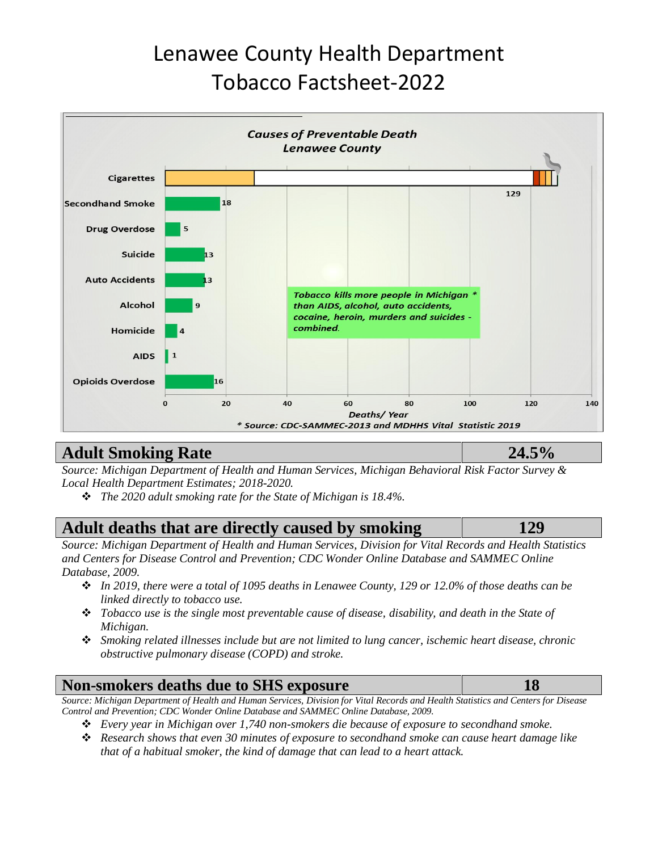# Lenawee County Health Department Tobacco Factsheet-2022



## **Adult Smoking Rate 24.5%**

*Source: Michigan Department of Health and Human Services, Michigan Behavioral Risk Factor Survey & Local Health Department Estimates; 2018-2020.*

❖ *The 2020 adult smoking rate for the State of Michigan is 18.4%.* 

## **Adult deaths that are directly caused by smoking 129**

*Source: Michigan Department of Health and Human Services, Division for Vital Records and Health Statistics and Centers for Disease Control and Prevention; CDC Wonder Online Database and SAMMEC Online Database, 2009.* 

- ❖ *In 2019, there were a total of 1095 deaths in Lenawee County, 129 or 12.0% of those deaths can be linked directly to tobacco use.*
- ❖ *Tobacco use is the single most preventable cause of disease, disability, and death in the State of Michigan.*
- ❖ *Smoking related illnesses include but are not limited to lung cancer, ischemic heart disease, chronic obstructive pulmonary disease (COPD) and stroke.*

## **Non-smokers deaths due to SHS exposure 18**

*Source: Michigan Department of Health and Human Services, Division for Vital Records and Health Statistics and Centers for Disease Control and Prevention; CDC Wonder Online Database and SAMMEC Online Database, 2009.* 

- ❖ *Every year in Michigan over 1,740 non-smokers die because of exposure to secondhand smoke.*
- ❖ *Research shows that even 30 minutes of exposure to secondhand smoke can cause heart damage like that of a habitual smoker, the kind of damage that can lead to a heart attack.*